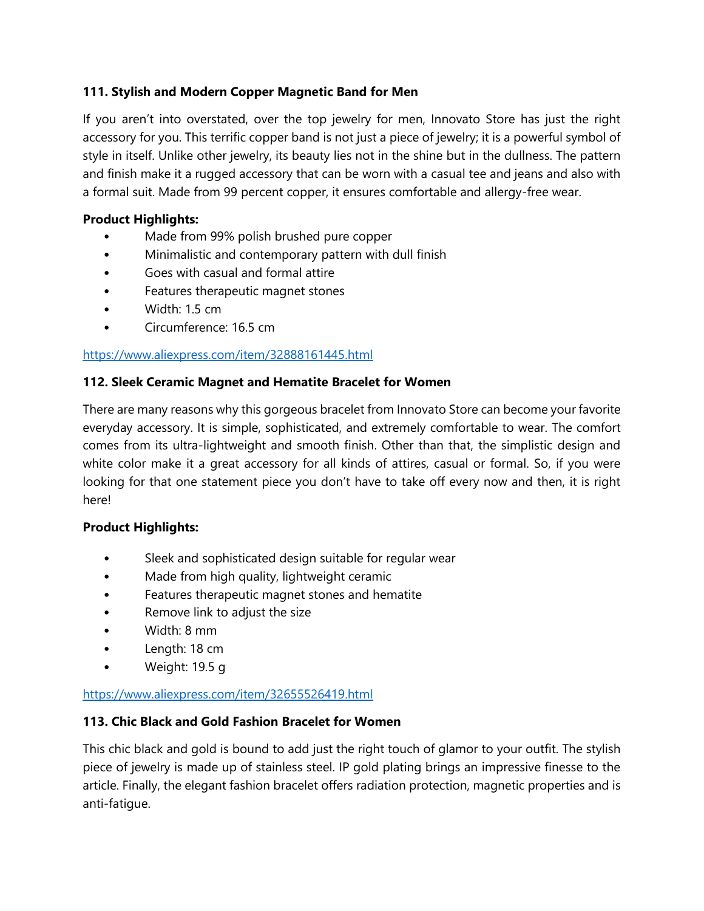# **111. Stylish and Modern Copper Magnetic Band for Men**

If you aren't into overstated, over the top jewelry for men, Innovato Store has just the right accessory for you. This terrific copper band is not just a piece of jewelry; it is a powerful symbol of style in itself. Unlike other jewelry, its beauty lies not in the shine but in the dullness. The pattern and finish make it a rugged accessory that can be worn with a casual tee and jeans and also with a formal suit. Made from 99 percent copper, it ensures comfortable and allergy-free wear.

## **Product Highlights:**

- Made from 99% polish brushed pure copper
- Minimalistic and contemporary pattern with dull finish
- Goes with casual and formal attire
- Features therapeutic magnet stones
- Width: 1.5 cm
- Circumference: 16.5 cm

# <https://www.aliexpress.com/item/32888161445.html>

# **112. Sleek Ceramic Magnet and Hematite Bracelet for Women**

There are many reasons why this gorgeous bracelet from Innovato Store can become your favorite everyday accessory. It is simple, sophisticated, and extremely comfortable to wear. The comfort comes from its ultra-lightweight and smooth finish. Other than that, the simplistic design and white color make it a great accessory for all kinds of attires, casual or formal. So, if you were looking for that one statement piece you don't have to take off every now and then, it is right here!

## **Product Highlights:**

- Sleek and sophisticated design suitable for regular wear
- Made from high quality, lightweight ceramic
- Features therapeutic magnet stones and hematite
- Remove link to adjust the size
- Width: 8 mm
- Length: 18 cm
- Weight: 19.5 g

## <https://www.aliexpress.com/item/32655526419.html>

## **113. Chic Black and Gold Fashion Bracelet for Women**

This chic black and gold is bound to add just the right touch of glamor to your outfit. The stylish piece of jewelry is made up of stainless steel. IP gold plating brings an impressive finesse to the article. Finally, the elegant fashion bracelet offers radiation protection, magnetic properties and is anti-fatigue.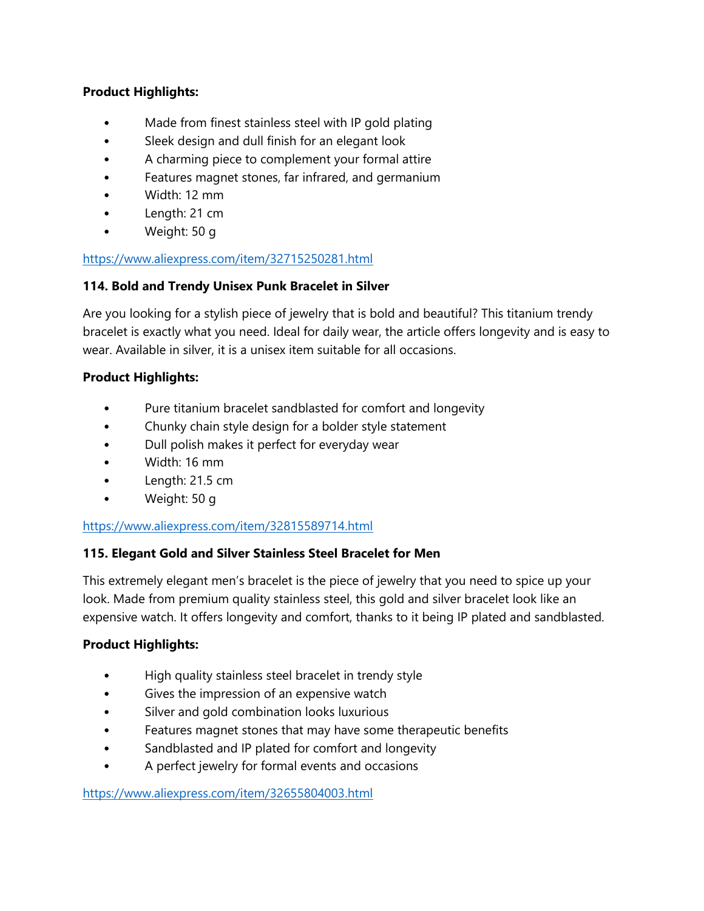# **Product Highlights:**

- Made from finest stainless steel with IP gold plating
- Sleek design and dull finish for an elegant look
- A charming piece to complement your formal attire
- Features magnet stones, far infrared, and germanium
- Width: 12 mm
- Length: 21 cm
- Weight: 50 g

## <https://www.aliexpress.com/item/32715250281.html>

## **114. Bold and Trendy Unisex Punk Bracelet in Silver**

Are you looking for a stylish piece of jewelry that is bold and beautiful? This titanium trendy bracelet is exactly what you need. Ideal for daily wear, the article offers longevity and is easy to wear. Available in silver, it is a unisex item suitable for all occasions.

## **Product Highlights:**

- Pure titanium bracelet sandblasted for comfort and longevity
- Chunky chain style design for a bolder style statement
- Dull polish makes it perfect for everyday wear
- Width: 16 mm
- Length: 21.5 cm
- Weight: 50 g

## <https://www.aliexpress.com/item/32815589714.html>

## **115. Elegant Gold and Silver Stainless Steel Bracelet for Men**

This extremely elegant men's bracelet is the piece of jewelry that you need to spice up your look. Made from premium quality stainless steel, this gold and silver bracelet look like an expensive watch. It offers longevity and comfort, thanks to it being IP plated and sandblasted.

## **Product Highlights:**

- High quality stainless steel bracelet in trendy style
- Gives the impression of an expensive watch
- Silver and gold combination looks luxurious
- Features magnet stones that may have some therapeutic benefits
- Sandblasted and IP plated for comfort and longevity
- A perfect jewelry for formal events and occasions

<https://www.aliexpress.com/item/32655804003.html>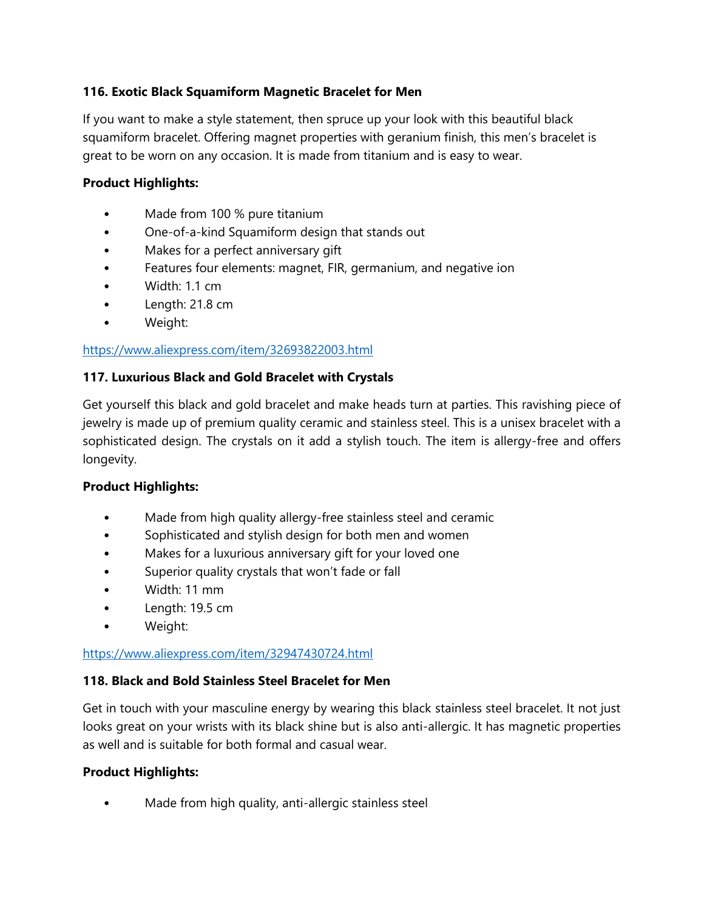# **116. Exotic Black Squamiform Magnetic Bracelet for Men**

If you want to make a style statement, then spruce up your look with this beautiful black squamiform bracelet. Offering magnet properties with geranium finish, this men's bracelet is great to be worn on any occasion. It is made from titanium and is easy to wear.

## **Product Highlights:**

- Made from 100 % pure titanium
- One-of-a-kind Squamiform design that stands out
- Makes for a perfect anniversary gift
- Features four elements: magnet, FIR, germanium, and negative ion
- Width: 1.1 cm
- Length: 21.8 cm
- Weight:

## <https://www.aliexpress.com/item/32693822003.html>

#### **117. Luxurious Black and Gold Bracelet with Crystals**

Get yourself this black and gold bracelet and make heads turn at parties. This ravishing piece of jewelry is made up of premium quality ceramic and stainless steel. This is a unisex bracelet with a sophisticated design. The crystals on it add a stylish touch. The item is allergy-free and offers longevity.

## **Product Highlights:**

- Made from high quality allergy-free stainless steel and ceramic
- Sophisticated and stylish design for both men and women
- Makes for a luxurious anniversary gift for your loved one
- Superior quality crystals that won't fade or fall
- Width: 11 mm
- Length: 19.5 cm
- Weight:

#### <https://www.aliexpress.com/item/32947430724.html>

## **118. Black and Bold Stainless Steel Bracelet for Men**

Get in touch with your masculine energy by wearing this black stainless steel bracelet. It not just looks great on your wrists with its black shine but is also anti-allergic. It has magnetic properties as well and is suitable for both formal and casual wear.

## **Product Highlights:**

Made from high quality, anti-allergic stainless steel